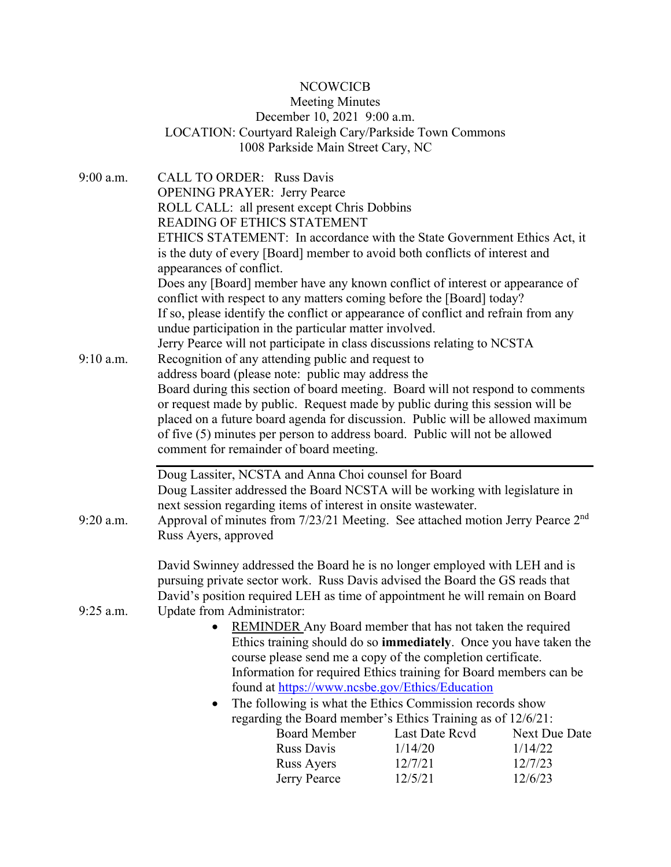## NCOWCICB

## Meeting Minutes December 10, 2021 9:00 a.m. LOCATION: Courtyard Raleigh Cary/Parkside Town Commons 1008 Parkside Main Street Cary, NC

| 9:00 a.m.   | <b>CALL TO ORDER: Russ Davis</b>                                                                                        |                                                                |               |  |  |  |
|-------------|-------------------------------------------------------------------------------------------------------------------------|----------------------------------------------------------------|---------------|--|--|--|
|             | <b>OPENING PRAYER: Jerry Pearce</b>                                                                                     |                                                                |               |  |  |  |
|             | ROLL CALL: all present except Chris Dobbins                                                                             |                                                                |               |  |  |  |
|             | <b>READING OF ETHICS STATEMENT</b>                                                                                      |                                                                |               |  |  |  |
|             | ETHICS STATEMENT: In accordance with the State Government Ethics Act, it                                                |                                                                |               |  |  |  |
|             | is the duty of every [Board] member to avoid both conflicts of interest and                                             |                                                                |               |  |  |  |
|             | appearances of conflict.                                                                                                |                                                                |               |  |  |  |
|             | Does any [Board] member have any known conflict of interest or appearance of                                            |                                                                |               |  |  |  |
|             | conflict with respect to any matters coming before the [Board] today?                                                   |                                                                |               |  |  |  |
|             | If so, please identify the conflict or appearance of conflict and refrain from any                                      |                                                                |               |  |  |  |
|             | undue participation in the particular matter involved.                                                                  |                                                                |               |  |  |  |
|             | Jerry Pearce will not participate in class discussions relating to NCSTA                                                |                                                                |               |  |  |  |
| $9:10$ a.m. | Recognition of any attending public and request to                                                                      |                                                                |               |  |  |  |
|             | address board (please note: public may address the                                                                      |                                                                |               |  |  |  |
|             | Board during this section of board meeting. Board will not respond to comments                                          |                                                                |               |  |  |  |
|             | or request made by public. Request made by public during this session will be                                           |                                                                |               |  |  |  |
|             | placed on a future board agenda for discussion. Public will be allowed maximum                                          |                                                                |               |  |  |  |
|             | of five (5) minutes per person to address board. Public will not be allowed                                             |                                                                |               |  |  |  |
|             | comment for remainder of board meeting.                                                                                 |                                                                |               |  |  |  |
|             | Doug Lassiter, NCSTA and Anna Choi counsel for Board                                                                    |                                                                |               |  |  |  |
|             | Doug Lassiter addressed the Board NCSTA will be working with legislature in                                             |                                                                |               |  |  |  |
|             |                                                                                                                         | next session regarding items of interest in onsite wastewater. |               |  |  |  |
| $9:20$ a.m. | Approval of minutes from 7/23/21 Meeting. See attached motion Jerry Pearce 2 <sup>nd</sup>                              |                                                                |               |  |  |  |
|             | Russ Ayers, approved                                                                                                    |                                                                |               |  |  |  |
|             |                                                                                                                         |                                                                |               |  |  |  |
|             | David Swinney addressed the Board he is no longer employed with LEH and is                                              |                                                                |               |  |  |  |
|             | pursuing private sector work. Russ Davis advised the Board the GS reads that                                            |                                                                |               |  |  |  |
|             | David's position required LEH as time of appointment he will remain on Board                                            |                                                                |               |  |  |  |
| 9:25 a.m.   | Update from Administrator:                                                                                              |                                                                |               |  |  |  |
|             | <b>REMINDER</b> Any Board member that has not taken the required                                                        |                                                                |               |  |  |  |
|             | Ethics training should do so <b>immediately</b> . Once you have taken the                                               |                                                                |               |  |  |  |
|             | course please send me a copy of the completion certificate.                                                             |                                                                |               |  |  |  |
|             | Information for required Ethics training for Board members can be                                                       |                                                                |               |  |  |  |
|             | found at https://www.ncsbe.gov/Ethics/Education                                                                         |                                                                |               |  |  |  |
|             | The following is what the Ethics Commission records show<br>regarding the Board member's Ethics Training as of 12/6/21: |                                                                |               |  |  |  |
|             |                                                                                                                         |                                                                |               |  |  |  |
|             | <b>Board Member</b>                                                                                                     | Last Date Rcvd                                                 | Next Due Date |  |  |  |
|             | <b>Russ Davis</b>                                                                                                       | 1/14/20                                                        | 1/14/22       |  |  |  |
|             | Russ Ayers                                                                                                              | 12/7/21                                                        | 12/7/23       |  |  |  |
|             | Jerry Pearce                                                                                                            | 12/5/21                                                        | 12/6/23       |  |  |  |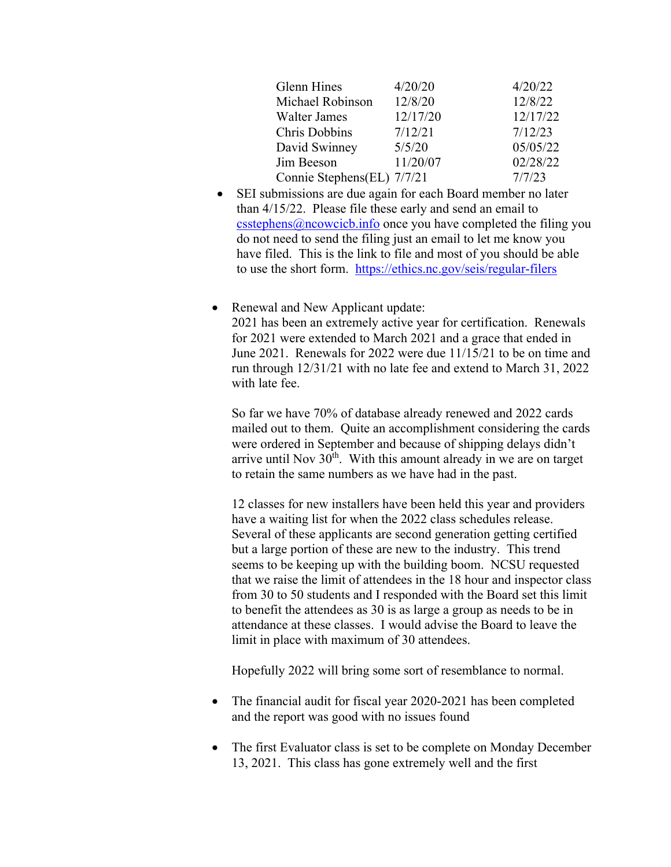| <b>Glenn Hines</b>         | 4/20/20  | 4/20/22  |
|----------------------------|----------|----------|
| Michael Robinson           | 12/8/20  | 12/8/22  |
| <b>Walter James</b>        | 12/17/20 | 12/17/22 |
| <b>Chris Dobbins</b>       | 7/12/21  | 7/12/23  |
| David Swinney              | 5/5/20   | 05/05/22 |
| Jim Beeson                 | 11/20/07 | 02/28/22 |
| Connie Stephens(EL) 7/7/21 |          | 7/7/23   |

- SEI submissions are due again for each Board member no later than 4/15/22. Please file these early and send an email to  $\text{c}$ sstephens $\omega$ ncowcicb.info once you have completed the filing you do not need to send the filing just an email to let me know you have filed. This is the link to file and most of you should be able to use the short form. https://ethics.nc.gov/seis/regular-filers
- Renewal and New Applicant update: 2021 has been an extremely active year for certification. Renewals for 2021 were extended to March 2021 and a grace that ended in June 2021. Renewals for 2022 were due 11/15/21 to be on time and run through 12/31/21 with no late fee and extend to March 31, 2022 with late fee.

So far we have 70% of database already renewed and 2022 cards mailed out to them. Quite an accomplishment considering the cards were ordered in September and because of shipping delays didn't arrive until Nov  $30<sup>th</sup>$ . With this amount already in we are on target to retain the same numbers as we have had in the past.

12 classes for new installers have been held this year and providers have a waiting list for when the 2022 class schedules release. Several of these applicants are second generation getting certified but a large portion of these are new to the industry. This trend seems to be keeping up with the building boom. NCSU requested that we raise the limit of attendees in the 18 hour and inspector class from 30 to 50 students and I responded with the Board set this limit to benefit the attendees as 30 is as large a group as needs to be in attendance at these classes. I would advise the Board to leave the limit in place with maximum of 30 attendees.

Hopefully 2022 will bring some sort of resemblance to normal.

- The financial audit for fiscal year 2020-2021 has been completed and the report was good with no issues found
- The first Evaluator class is set to be complete on Monday December 13, 2021. This class has gone extremely well and the first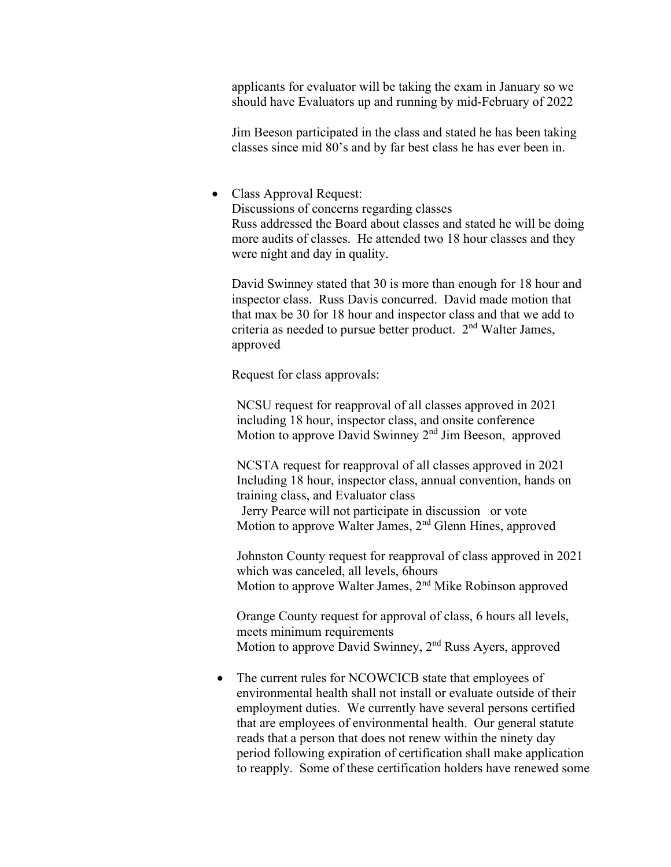applicants for evaluator will be taking the exam in January so we should have Evaluators up and running by mid-February of 2022

Jim Beeson participated in the class and stated he has been taking classes since mid 80's and by far best class he has ever been in.

## Class Approval Request:

Discussions of concerns regarding classes Russ addressed the Board about classes and stated he will be doing more audits of classes. He attended two 18 hour classes and they were night and day in quality.

David Swinney stated that 30 is more than enough for 18 hour and inspector class. Russ Davis concurred. David made motion that that max be 30 for 18 hour and inspector class and that we add to criteria as needed to pursue better product.  $2<sup>nd</sup>$  Walter James, approved

Request for class approvals:

NCSU request for reapproval of all classes approved in 2021 including 18 hour, inspector class, and onsite conference Motion to approve David Swinney 2<sup>nd</sup> Jim Beeson, approved

NCSTA request for reapproval of all classes approved in 2021 Including 18 hour, inspector class, annual convention, hands on training class, and Evaluator class Jerry Pearce will not participate in discussion or vote Motion to approve Walter James, 2<sup>nd</sup> Glenn Hines, approved

Johnston County request for reapproval of class approved in 2021 which was canceled, all levels, 6hours Motion to approve Walter James, 2<sup>nd</sup> Mike Robinson approved

Orange County request for approval of class, 6 hours all levels, meets minimum requirements Motion to approve David Swinney, 2<sup>nd</sup> Russ Ayers, approved

• The current rules for NCOWCICB state that employees of environmental health shall not install or evaluate outside of their employment duties. We currently have several persons certified that are employees of environmental health. Our general statute reads that a person that does not renew within the ninety day period following expiration of certification shall make application to reapply. Some of these certification holders have renewed some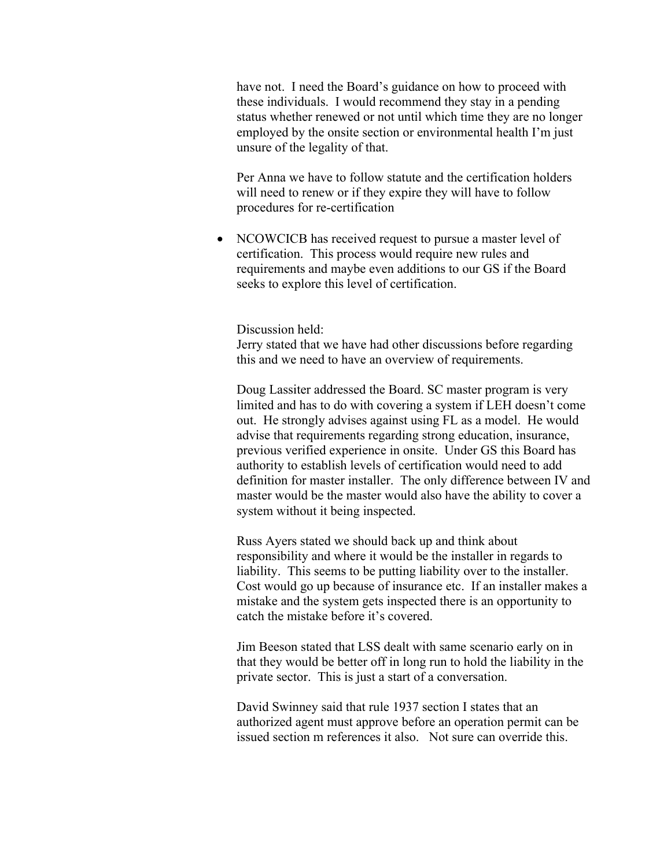have not. I need the Board's guidance on how to proceed with these individuals. I would recommend they stay in a pending status whether renewed or not until which time they are no longer employed by the onsite section or environmental health I'm just unsure of the legality of that.

Per Anna we have to follow statute and the certification holders will need to renew or if they expire they will have to follow procedures for re-certification

• NCOWCICB has received request to pursue a master level of certification. This process would require new rules and requirements and maybe even additions to our GS if the Board seeks to explore this level of certification.

Discussion held:

Jerry stated that we have had other discussions before regarding this and we need to have an overview of requirements.

Doug Lassiter addressed the Board. SC master program is very limited and has to do with covering a system if LEH doesn't come out. He strongly advises against using FL as a model. He would advise that requirements regarding strong education, insurance, previous verified experience in onsite. Under GS this Board has authority to establish levels of certification would need to add definition for master installer. The only difference between IV and master would be the master would also have the ability to cover a system without it being inspected.

Russ Ayers stated we should back up and think about responsibility and where it would be the installer in regards to liability. This seems to be putting liability over to the installer. Cost would go up because of insurance etc. If an installer makes a mistake and the system gets inspected there is an opportunity to catch the mistake before it's covered.

Jim Beeson stated that LSS dealt with same scenario early on in that they would be better off in long run to hold the liability in the private sector. This is just a start of a conversation.

David Swinney said that rule 1937 section I states that an authorized agent must approve before an operation permit can be issued section m references it also. Not sure can override this.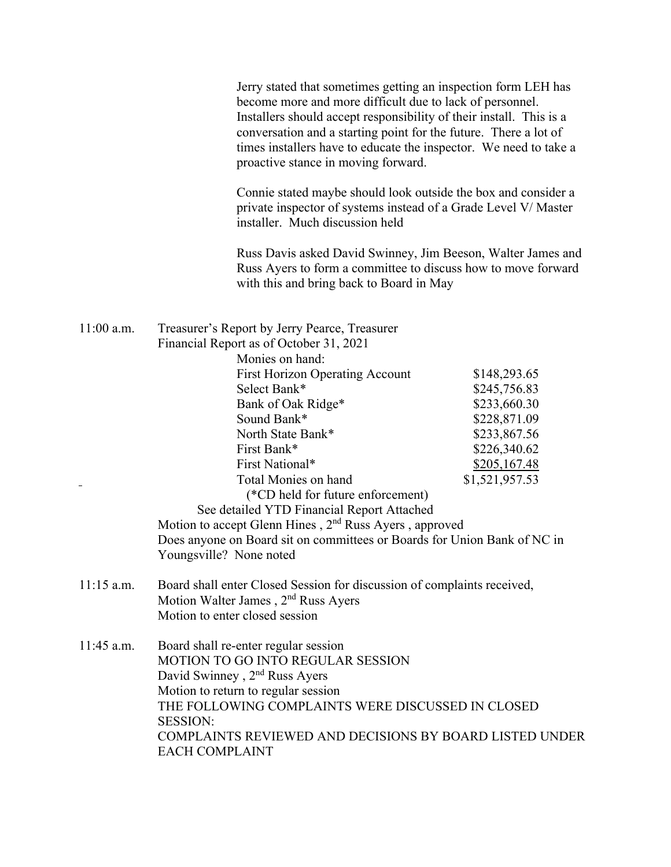|              | Jerry stated that sometimes getting an inspection form LEH has<br>become more and more difficult due to lack of personnel.<br>Installers should accept responsibility of their install. This is a<br>conversation and a starting point for the future. There a lot of<br>times installers have to educate the inspector. We need to take a<br>proactive stance in moving forward.                                                                                                                                                                                                                                                                                                           |  |  |
|--------------|---------------------------------------------------------------------------------------------------------------------------------------------------------------------------------------------------------------------------------------------------------------------------------------------------------------------------------------------------------------------------------------------------------------------------------------------------------------------------------------------------------------------------------------------------------------------------------------------------------------------------------------------------------------------------------------------|--|--|
|              | Connie stated maybe should look outside the box and consider a<br>private inspector of systems instead of a Grade Level V/ Master<br>installer. Much discussion held                                                                                                                                                                                                                                                                                                                                                                                                                                                                                                                        |  |  |
|              | Russ Davis asked David Swinney, Jim Beeson, Walter James and<br>Russ Ayers to form a committee to discuss how to move forward<br>with this and bring back to Board in May                                                                                                                                                                                                                                                                                                                                                                                                                                                                                                                   |  |  |
| $11:00$ a.m. | Treasurer's Report by Jerry Pearce, Treasurer<br>Financial Report as of October 31, 2021<br>Monies on hand:<br><b>First Horizon Operating Account</b><br>\$148,293.65<br>Select Bank*<br>\$245,756.83<br>Bank of Oak Ridge*<br>\$233,660.30<br>Sound Bank*<br>\$228,871.09<br>North State Bank*<br>\$233,867.56<br>First Bank*<br>\$226,340.62<br>First National*<br>\$205,167.48<br>Total Monies on hand<br>\$1,521,957.53<br>(*CD held for future enforcement)<br>See detailed YTD Financial Report Attached<br>Motion to accept Glenn Hines, 2 <sup>nd</sup> Russ Ayers, approved<br>Does anyone on Board sit on committees or Boards for Union Bank of NC in<br>Youngsville? None noted |  |  |
| $11:15$ a.m. | Board shall enter Closed Session for discussion of complaints received,<br>Motion Walter James, 2 <sup>nd</sup> Russ Ayers<br>Motion to enter closed session                                                                                                                                                                                                                                                                                                                                                                                                                                                                                                                                |  |  |
| $11:45$ a.m. | Board shall re-enter regular session<br><b>MOTION TO GO INTO REGULAR SESSION</b><br>David Swinney, 2 <sup>nd</sup> Russ Ayers<br>Motion to return to regular session<br>THE FOLLOWING COMPLAINTS WERE DISCUSSED IN CLOSED<br><b>SESSION:</b><br>COMPLAINTS REVIEWED AND DECISIONS BY BOARD LISTED UNDER<br><b>EACH COMPLAINT</b>                                                                                                                                                                                                                                                                                                                                                            |  |  |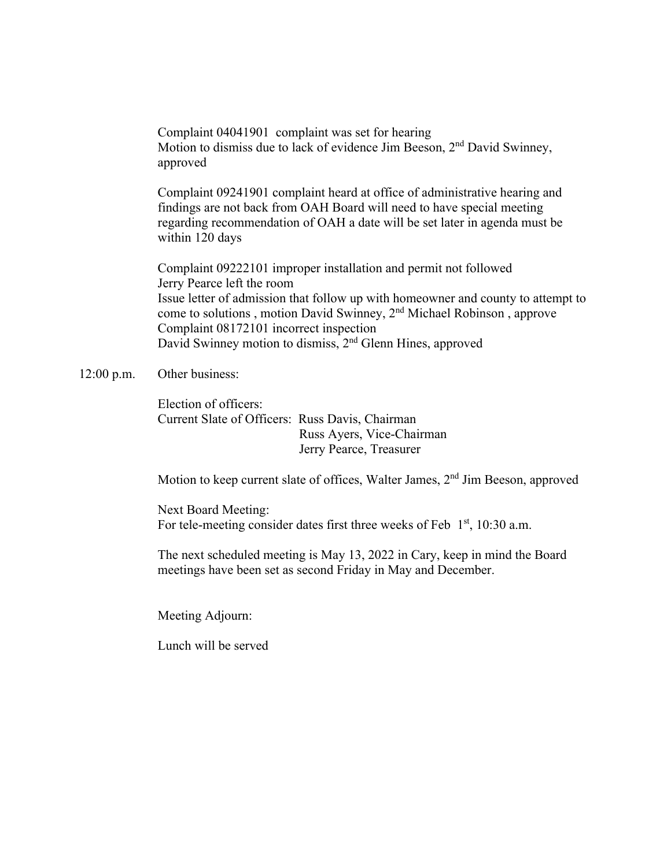Complaint 04041901 complaint was set for hearing Motion to dismiss due to lack of evidence Jim Beeson, 2<sup>nd</sup> David Swinney, approved

 Complaint 09241901 complaint heard at office of administrative hearing and findings are not back from OAH Board will need to have special meeting regarding recommendation of OAH a date will be set later in agenda must be within 120 days

 Complaint 09222101 improper installation and permit not followed Jerry Pearce left the room Issue letter of admission that follow up with homeowner and county to attempt to come to solutions , motion David Swinney, 2nd Michael Robinson , approve Complaint 08172101 incorrect inspection David Swinney motion to dismiss, 2nd Glenn Hines, approved

## 12:00 p.m. Other business:

 Election of officers: Current Slate of Officers: Russ Davis, Chairman Russ Ayers, Vice-Chairman Jerry Pearce, Treasurer

Motion to keep current slate of offices, Walter James, 2<sup>nd</sup> Jim Beeson, approved

Next Board Meeting: For tele-meeting consider dates first three weeks of Feb  $1<sup>st</sup>$ , 10:30 a.m.

The next scheduled meeting is May 13, 2022 in Cary, keep in mind the Board meetings have been set as second Friday in May and December.

Meeting Adjourn:

Lunch will be served